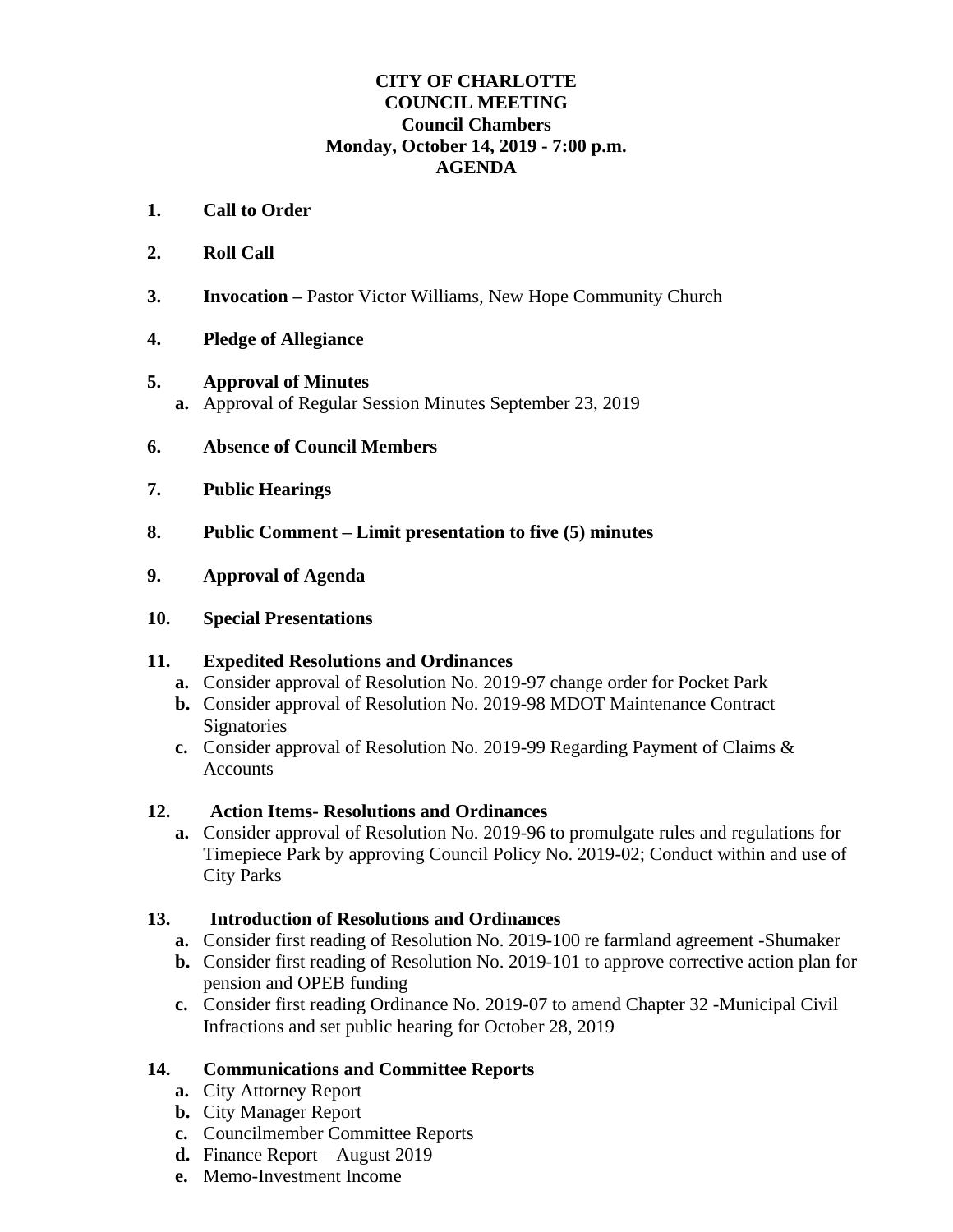#### **CITY OF CHARLOTTE COUNCIL MEETING Council Chambers Monday, October 14, 2019 - 7:00 p.m. AGENDA**

- **1. Call to Order**
- **2. Roll Call**
- **3. Invocation –** Pastor Victor Williams, New Hope Community Church
- **4. Pledge of Allegiance**
- **5. Approval of Minutes a.** Approval of Regular Session Minutes September 23, 2019
- **6. Absence of Council Members**
- **7. Public Hearings**
- **8. Public Comment – Limit presentation to five (5) minutes**
- **9. Approval of Agenda**
- **10. Special Presentations**

#### **11. Expedited Resolutions and Ordinances**

- **a.** Consider approval of Resolution No. 2019-97 change order for Pocket Park
- **b.** Consider approval of Resolution No. 2019-98 MDOT Maintenance Contract **Signatories**
- **c.** Consider approval of Resolution No. 2019-99 Regarding Payment of Claims & **Accounts**

## **12. Action Items- Resolutions and Ordinances**

**a.** Consider approval of Resolution No. 2019-96 to promulgate rules and regulations for Timepiece Park by approving Council Policy No. 2019-02; Conduct within and use of City Parks

## **13. Introduction of Resolutions and Ordinances**

- **a.** Consider first reading of Resolution No. 2019-100 re farmland agreement -Shumaker
- **b.** Consider first reading of Resolution No. 2019-101 to approve corrective action plan for pension and OPEB funding
- **c.** Consider first reading Ordinance No. 2019-07 to amend Chapter 32 -Municipal Civil Infractions and set public hearing for October 28, 2019

## **14. Communications and Committee Reports**

- **a.** City Attorney Report
- **b.** City Manager Report
- **c.** Councilmember Committee Reports
- **d.** Finance Report August 2019
- **e.** Memo-Investment Income